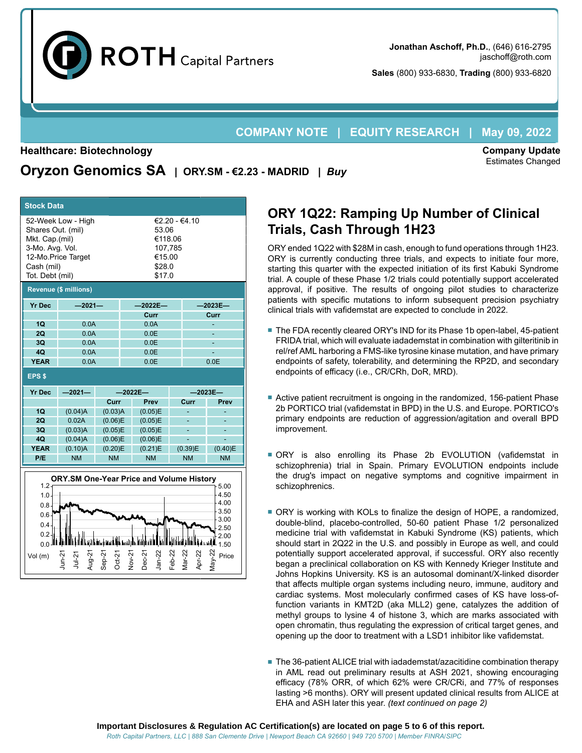

**Sales** (800) 933-6830, **Trading** (800) 933-6820

# **COMPANY NOTE | EQUITY RESEARCH | May 09, 2022**

#### **Healthcare: Biotechnology**

**Company Update** Estimates Changed

| <b>Stock Data</b>                                                      |          |                                       |           |  |
|------------------------------------------------------------------------|----------|---------------------------------------|-----------|--|
| 52-Week Low - High<br>Shares Out. (mil)<br>Mkt. Cap.(mil)              |          | $€2.20 - €4.10$<br>53.06<br>€118.06   |           |  |
| 3-Mo. Avg. Vol.<br>12-Mo.Price Target<br>Cash (mil)<br>Tot. Debt (mil) |          | 107.785<br>€15.00<br>\$28.0<br>\$17.0 |           |  |
| <b>Revenue (\$ millions)</b>                                           |          |                                       |           |  |
| <b>Yr Dec</b>                                                          | $-2021-$ | $-2022E-$                             | $-2023E-$ |  |

**Oryzon Genomics SA | ORY.SM - €2.23 - MADRID |** *Buy*

**Curr Curr**

| • The FDA recently cleared ORY's IND for its Phase 1b open-label, 45-patient     |
|----------------------------------------------------------------------------------|
|                                                                                  |
| FRIDA trial, which will evaluate iadademstat in combination with gilteritinib in |
| rel/ref AML harboring a FMS-like tyrosine kinase mutation, and have primary      |
| endpoints of safety, tolerability, and determining the RP2D, and secondary       |
| endpoints of efficacy (i.e., CR/CRh, DoR, MRD).                                  |
|                                                                                  |
|                                                                                  |

- Active patient recruitment is ongoing in the randomized, 156-patient Phase 2b PORTICO trial (vafidemstat in BPD) in the U.S. and Europe. PORTICO's primary endpoints are reduction of aggression/agitation and overall BPD improvement.
- ORY is also enrolling its Phase 2b EVOLUTION (vafidemstat in schizophrenia) trial in Spain. Primary EVOLUTION endpoints include the drug's impact on negative symptoms and cognitive impairment in schizophrenics.
- ORY is working with KOLs to finalize the design of HOPE, a randomized, double-blind, placebo-controlled, 50-60 patient Phase 1/2 personalized medicine trial with vafidemstat in Kabuki Syndrome (KS) patients, which should start in 2Q22 in the U.S. and possibly in Europe as well, and could potentially support accelerated approval, if successful. ORY also recently began a preclinical collaboration on KS with Kennedy Krieger Institute and Johns Hopkins University. KS is an autosomal dominant/X-linked disorder that affects multiple organ systems including neuro, immune, auditory and cardiac systems. Most molecularly confirmed cases of KS have loss-offunction variants in KMT2D (aka MLL2) gene, catalyzes the addition of methyl groups to lysine 4 of histone 3, which are marks associated with open chromatin, thus regulating the expression of critical target genes, and opening up the door to treatment with a LSD1 inhibitor like vafidemstat.
- The 36-patient ALICE trial with iadademstat/azacitidine combination therapy in AML read out preliminary results at ASH 2021, showing encouraging efficacy (78% ORR, of which 62% were CR/CRi, and 77% of responses lasting >6 months). ORY will present updated clinical results from ALICE at EHA and ASH later this year. *(text continued on page 2)*

| 2Q            | 0.0A      |                | 0.0E                                            |                     |              |  |  |  |  |  |
|---------------|-----------|----------------|-------------------------------------------------|---------------------|--------------|--|--|--|--|--|
| 3Q            | 0.0A      |                | 0.0E                                            |                     |              |  |  |  |  |  |
| 4Q            | 0.0A      |                | 0.0E                                            |                     |              |  |  |  |  |  |
| <b>YEAR</b>   | 0.0A      |                | 0.0E                                            |                     | 0.0E         |  |  |  |  |  |
| <b>EPS \$</b> |           |                |                                                 |                     |              |  |  |  |  |  |
| <b>Yr Dec</b> | $-2021-$  |                | $-2022E-$                                       |                     | $-2023E-$    |  |  |  |  |  |
|               |           | Curr           | Prev                                            | Curr                | Prev         |  |  |  |  |  |
| 1Q            | (0.04)A   | (0.03)A        | (0.05)E                                         |                     |              |  |  |  |  |  |
| 2Q            | 0.02A     | (0.06)E        | (0.05)E                                         | ۰                   |              |  |  |  |  |  |
| 3Q            | (0.03)A   | (0.05)E        | (0.05)E                                         |                     |              |  |  |  |  |  |
| 4Q            | (0.04)A   | (0.06)E        | (0.06)E                                         |                     |              |  |  |  |  |  |
| <b>YEAR</b>   | (0.10)A   | (0.20)E        | (0.21)E                                         | (0.39)E             | (0.40)E      |  |  |  |  |  |
| P/E           | <b>NM</b> | <b>NM</b>      | <b>NM</b>                                       | <b>NM</b>           | <b>NM</b>    |  |  |  |  |  |
|               |           |                |                                                 |                     |              |  |  |  |  |  |
|               |           |                | <b>ORY.SM One-Year Price and Volume History</b> |                     |              |  |  |  |  |  |
| $1.2 -$       |           |                |                                                 |                     | 5.00         |  |  |  |  |  |
| 1.0           |           |                |                                                 |                     | 4.50         |  |  |  |  |  |
| 0.8           |           |                |                                                 |                     | 4.00         |  |  |  |  |  |
| $0.6 -$       |           |                |                                                 |                     | 3.50<br>3.00 |  |  |  |  |  |
| 0.4           |           |                |                                                 |                     | 2.50         |  |  |  |  |  |
| $0.2 -$       |           |                |                                                 |                     | 2.00         |  |  |  |  |  |
|               |           | 面目<br>المتحاطف | النبا<br>n L                                    | i tashkalari dhe sh |              |  |  |  |  |  |

0.0 литеринин ишке санды канды касары карашандан керитин калыштарды 1.50

Vol (m)  $\begin{array}{ccccc} \nabla_1 & \nabla_1 & \nabla_1 & \nabla_1 & \nabla_1 & \nabla_1 & \nabla_1 & \nabla_1 & \nabla_1 & \nabla_1 & \nabla_1 & \nabla_1 & \nabla_1 & \nabla_1 & \nabla_1 & \nabla_1 & \nabla_1 & \nabla_1 & \nabla_1 & \nabla_1 & \nabla_1 & \nabla_1 & \nabla_1 & \nabla_1 & \nabla_1 & \nabla_1 & \nabla_1 & \nabla_1 & \nabla_1 & \$ 

Jan-22 Feb-22<br>Mar-22 Vlar-22<br>Apr-22 Apr-

Jun-21

Jul-21<br>Aug-21 Aug-21<br>Sep-21 Sep-21 Oct-21 Nov-21 Dec-21

**1Q** 0.0A 0.0A -

#### **Important Disclosures & Regulation AC Certification(s) are located on page 5 to 6 of this report.** *Roth Capital Partners, LLC | 888 San Clemente Drive | Newport Beach CA 92660 | 949 720 5700 | Member FINRA/SIPC*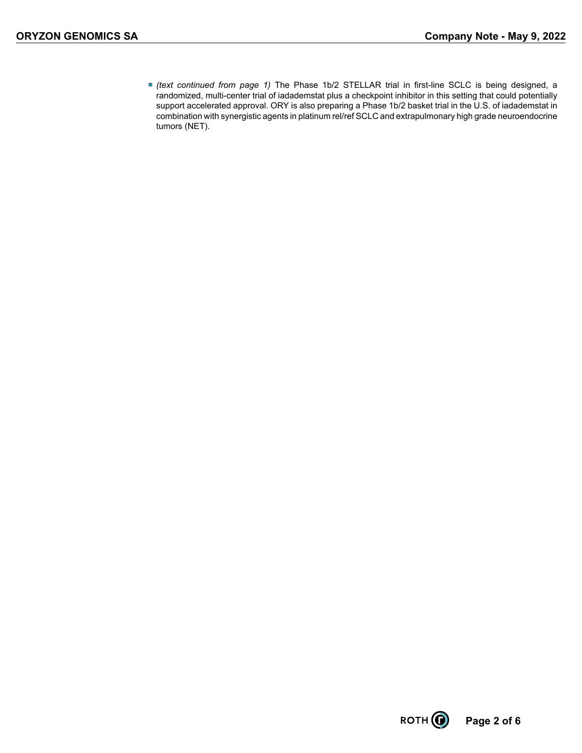■ *(text continued from page 1)* The Phase 1b/2 STELLAR trial in first-line SCLC is being designed, a randomized, multi-center trial of iadademstat plus a checkpoint inhibitor in this setting that could potentially support accelerated approval. ORY is also preparing a Phase 1b/2 basket trial in the U.S. of iadademstat in combination with synergistic agents in platinum rel/ref SCLC and extrapulmonary high grade neuroendocrine tumors (NET).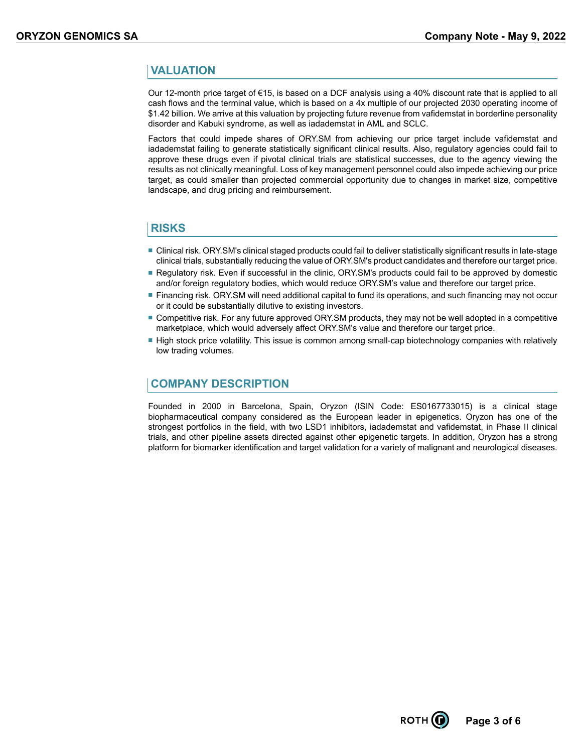## **VALUATION**

Our 12-month price target of €15, is based on a DCF analysis using a 40% discount rate that is applied to all cash flows and the terminal value, which is based on a 4x multiple of our projected 2030 operating income of \$1.42 billion. We arrive at this valuation by projecting future revenue from vafidemstat in borderline personality disorder and Kabuki syndrome, as well as iadademstat in AML and SCLC.

Factors that could impede shares of ORY.SM from achieving our price target include vafidemstat and iadademstat failing to generate statistically significant clinical results. Also, regulatory agencies could fail to approve these drugs even if pivotal clinical trials are statistical successes, due to the agency viewing the results as not clinically meaningful. Loss of key management personnel could also impede achieving our price target, as could smaller than projected commercial opportunity due to changes in market size, competitive landscape, and drug pricing and reimbursement.

## **RISKS**

- Clinical risk. ORY.SM's clinical staged products could fail to deliver statistically significant results in late-stage clinical trials, substantially reducing the value of ORY.SM's product candidates and therefore our target price.
- Regulatory risk. Even if successful in the clinic, ORY.SM's products could fail to be approved by domestic and/or foreign regulatory bodies, which would reduce ORY.SM's value and therefore our target price.
- Financing risk. ORY. SM will need additional capital to fund its operations, and such financing may not occur or it could be substantially dilutive to existing investors.
- Competitive risk. For any future approved ORY.SM products, they may not be well adopted in a competitive marketplace, which would adversely affect ORY.SM's value and therefore our target price.
- High stock price volatility. This issue is common among small-cap biotechnology companies with relatively low trading volumes.

## **COMPANY DESCRIPTION**

Founded in 2000 in Barcelona, Spain, Oryzon (ISIN Code: ES0167733015) is a clinical stage biopharmaceutical company considered as the European leader in epigenetics. Oryzon has one of the strongest portfolios in the field, with two LSD1 inhibitors, iadademstat and vafidemstat, in Phase II clinical trials, and other pipeline assets directed against other epigenetic targets. In addition, Oryzon has a strong platform for biomarker identification and target validation for a variety of malignant and neurological diseases.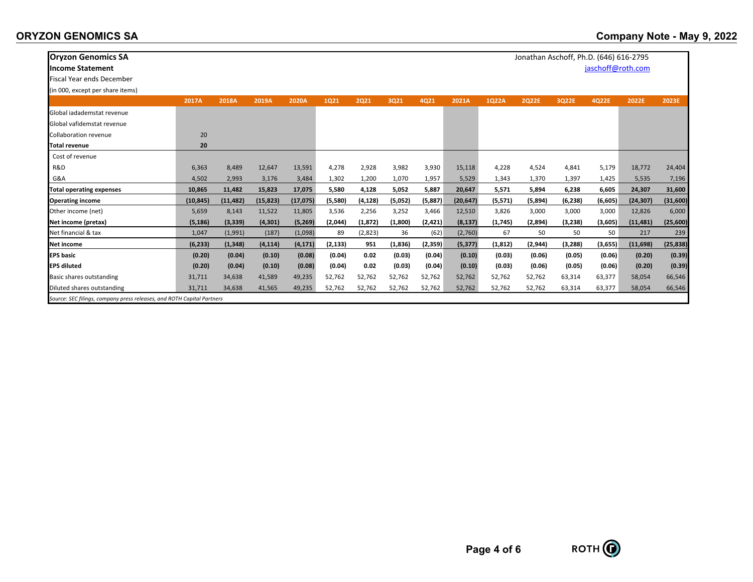| <b>Oryzon Genomics SA</b>                                              |           |           |           |           |         |          |          |         |           |          | Jonathan Aschoff, Ph.D. (646) 616-2795 |          |                   |           |           |
|------------------------------------------------------------------------|-----------|-----------|-----------|-----------|---------|----------|----------|---------|-----------|----------|----------------------------------------|----------|-------------------|-----------|-----------|
| <b>Income Statement</b>                                                |           |           |           |           |         |          |          |         |           |          |                                        |          | jaschoff@roth.com |           |           |
| <b>Fiscal Year ends December</b>                                       |           |           |           |           |         |          |          |         |           |          |                                        |          |                   |           |           |
| (in 000, except per share items)                                       |           |           |           |           |         |          |          |         |           |          |                                        |          |                   |           |           |
|                                                                        | 2017A     | 2018A     | 2019A     | 2020A     | 1021    | 2021     | 3Q21     | 4Q21    | 2021A     | 1Q22A    | <b>2Q22E</b>                           | 3Q22E    | 4Q22E             | 2022E     | 2023E     |
| Global jadademstat revenue                                             |           |           |           |           |         |          |          |         |           |          |                                        |          |                   |           |           |
| Global vafidemstat revenue                                             |           |           |           |           |         |          |          |         |           |          |                                        |          |                   |           |           |
| <b>Collaboration revenue</b>                                           | 20        |           |           |           |         |          |          |         |           |          |                                        |          |                   |           |           |
| <b>Total revenue</b>                                                   | 20        |           |           |           |         |          |          |         |           |          |                                        |          |                   |           |           |
| Cost of revenue                                                        |           |           |           |           |         |          |          |         |           |          |                                        |          |                   |           |           |
| R&D                                                                    | 6,363     | 8,489     | 12,647    | 13,591    | 4,278   | 2,928    | 3,982    | 3,930   | 15,118    | 4,228    | 4,524                                  | 4,841    | 5,179             | 18,772    | 24,404    |
| G&A                                                                    | 4,502     | 2,993     | 3,176     | 3,484     | 1,302   | 1,200    | 1,070    | 1,957   | 5,529     | 1,343    | 1,370                                  | 1,397    | 1,425             | 5,535     | 7,196     |
| <b>Total operating expenses</b>                                        | 10,865    | 11,482    | 15,823    | 17,075    | 5,580   | 4,128    | 5,052    | 5,887   | 20,647    | 5,571    | 5,894                                  | 6,238    | 6,605             | 24,307    | 31,600    |
| <b>Operating income</b>                                                | (10, 845) | (11, 482) | (15, 823) | (17, 075) | (5,580) | (4, 128) | (5,052)  | (5,887) | (20, 647) | (5,571)  | (5,894)                                | (6, 238) | (6,605)           | (24, 307) | (31,600)  |
| Other income (net)                                                     | 5,659     | 8,143     | 11,522    | 11,805    | 3,536   | 2,256    | 3,252    | 3,466   | 12,510    | 3,826    | 3,000                                  | 3,000    | 3,000             | 12,826    | 6,000     |
| Net income (pretax)                                                    | (5, 186)  | (3, 339)  | (4, 301)  | (5,269)   | (2,044) | (1, 872) | (1,800)  | (2,421) | (8, 137)  | (1,745)  | (2,894)                                | (3,238)  | (3,605)           | (11, 481) | (25,600)  |
| Net financial & tax                                                    | 1,047     | (1,991)   | (187)     | (1,098)   | 89      | (2,823)  | 36       | (62)    | (2,760)   | 67       | 50                                     | 50       | 50                | 217       | 239       |
| Net income                                                             | (6, 233)  | (1, 348)  | (4, 114)  | (4, 171)  | (2,133) | 951      | (1, 836) | (2,359) | (5, 377)  | (1, 812) | (2,944)                                | (3,288)  | (3,655)           | (11, 698) | (25, 838) |
| <b>EPS</b> basic                                                       | (0.20)    | (0.04)    | (0.10)    | (0.08)    | (0.04)  | 0.02     | (0.03)   | (0.04)  | (0.10)    | (0.03)   | (0.06)                                 | (0.05)   | (0.06)            | (0.20)    | (0.39)    |
| <b>EPS diluted</b>                                                     | (0.20)    | (0.04)    | (0.10)    | (0.08)    | (0.04)  | 0.02     | (0.03)   | (0.04)  | (0.10)    | (0.03)   | (0.06)                                 | (0.05)   | (0.06)            | (0.20)    | (0.39)    |
| Basic shares outstanding                                               | 31,711    | 34,638    | 41,589    | 49,235    | 52,762  | 52,762   | 52,762   | 52,762  | 52,762    | 52,762   | 52,762                                 | 63,314   | 63,377            | 58,054    | 66,546    |
| Diluted shares outstanding                                             | 31,711    | 34,638    | 41,565    | 49,235    | 52,762  | 52,762   | 52,762   | 52,762  | 52,762    | 52,762   | 52,762                                 | 63,314   | 63,377            | 58,054    | 66,546    |
| Source: SEC filings, company press releases, and ROTH Capital Partners |           |           |           |           |         |          |          |         |           |          |                                        |          |                   |           |           |

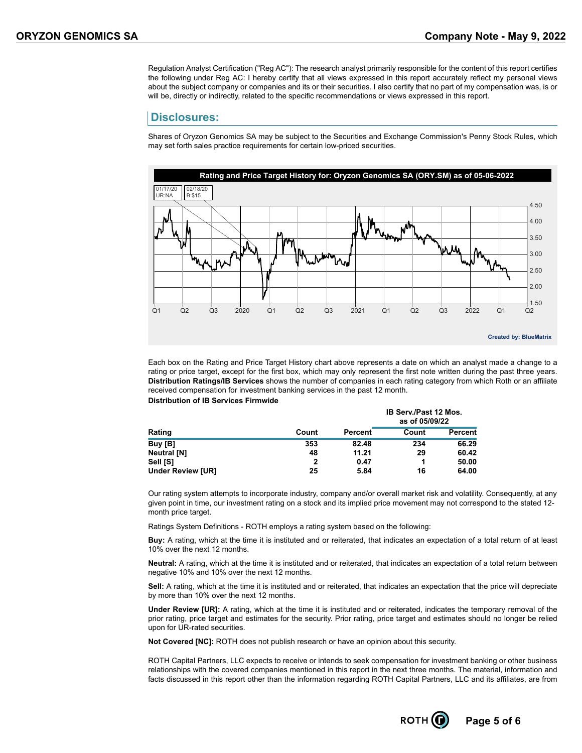Regulation Analyst Certification ("Reg AC"): The research analyst primarily responsible for the content of this report certifies the following under Reg AC: I hereby certify that all views expressed in this report accurately reflect my personal views about the subject company or companies and its or their securities. I also certify that no part of my compensation was, is or will be, directly or indirectly, related to the specific recommendations or views expressed in this report.

#### **Disclosures:**

Shares of Oryzon Genomics SA may be subject to the Securities and Exchange Commission's Penny Stock Rules, which may set forth sales practice requirements for certain low-priced securities.



Each box on the Rating and Price Target History chart above represents a date on which an analyst made a change to a rating or price target, except for the first box, which may only represent the first note written during the past three years. **Distribution Ratings/IB Services** shows the number of companies in each rating category from which Roth or an affiliate received compensation for investment banking services in the past 12 month. **Distribution of IB Services Firmwide**

|                          |       |         | <b>IB Serv./Past 12 Mos.</b><br>as of 05/09/22 |         |  |  |  |
|--------------------------|-------|---------|------------------------------------------------|---------|--|--|--|
| Rating                   | Count | Percent | Count                                          | Percent |  |  |  |
| Buy [B]                  | 353   | 82.48   | 234                                            | 66.29   |  |  |  |
| <b>Neutral [N]</b>       | 48    | 11.21   | 29                                             | 60.42   |  |  |  |
| Sell [S]                 | 2     | 0.47    |                                                | 50.00   |  |  |  |
| <b>Under Review [UR]</b> | 25    | 5.84    | 16                                             | 64.00   |  |  |  |

Our rating system attempts to incorporate industry, company and/or overall market risk and volatility. Consequently, at any given point in time, our investment rating on a stock and its implied price movement may not correspond to the stated 12 month price target.

Ratings System Definitions - ROTH employs a rating system based on the following:

**Buy:** A rating, which at the time it is instituted and or reiterated, that indicates an expectation of a total return of at least 10% over the next 12 months.

**Neutral:** A rating, which at the time it is instituted and or reiterated, that indicates an expectation of a total return between negative 10% and 10% over the next 12 months.

**Sell:** A rating, which at the time it is instituted and or reiterated, that indicates an expectation that the price will depreciate by more than 10% over the next 12 months.

**Under Review [UR]:** A rating, which at the time it is instituted and or reiterated, indicates the temporary removal of the prior rating, price target and estimates for the security. Prior rating, price target and estimates should no longer be relied upon for UR-rated securities.

**Not Covered [NC]:** ROTH does not publish research or have an opinion about this security.

ROTH Capital Partners, LLC expects to receive or intends to seek compensation for investment banking or other business relationships with the covered companies mentioned in this report in the next three months. The material, information and facts discussed in this report other than the information regarding ROTH Capital Partners, LLC and its affiliates, are from